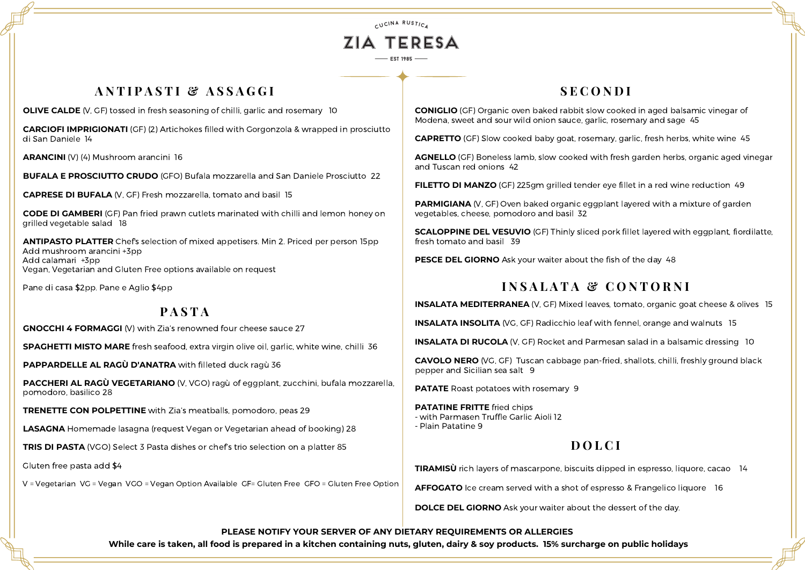CUCINA RUSTICA

# ZIA TERESA  $-$  EST 1985

## **A N T I P A S T I & A S S A G G I**

**OLIVE CALDE** (V, GF) tossed in fresh seasoning of chilli, garlic and rosemary 10

**GNOCCHI 4 FORMAGGI** (V) with Zia's renowned four cheese sauce 27

**SPAGHETTI MISTO MARE** fresh seafood, extra virgin olive oil, garlic, white wine, chilli 36

**PAPPARDELLE AL RAGÙ D'ANATRA** with filleted duck ragù 36

**PACCHERI AL RAGÙ VEGETARIANO** (V, VGO) ragù of eggplant, zucchini, bufala mozzarella, pomodoro, basilico 28

**TRENETTE CON POLPETTINE** with Zia's meatballs, pomodoro, peas 29

**LASAGNA** Homemade lasagna (request Vegan or Vegetarian ahead of booking) 28

**TRIS DI PASTA** (VGO) Select 3 Pasta dishes or chef's trio selection on a platter 85

Gluten free pasta add \$4

V = Vegetarian VG = Vegan VGO = Vegan Option Available GF= Gluten Free GFO = Gluten Free Option

**CARCIOFI IMPRIGIONATI** (GF) (2) Artichokes filled with Gorgonzola & wrapped in prosciutto di San Daniele 14

**ARANCINI** (V) (4) Mushroom arancini 16

**BUFALA E PROSCIUTTO CRUDO** (GFO) Bufala mozzarella and San Daniele Prosciutto 22

**PARMIGIANA** (V, GF) Oven baked organic eggplant layered with a mixture of garden vegetables, cheese, pomodoro and basil 32

**CAPRESE DI BUFALA** (V, GF) Fresh mozzarella, tomato and basil 15

**CODE DI GAMBERI** (GF) Pan fried prawn cutlets marinated with chilli and lemon honey on grilled vegetable salad 18

> **INSALATA MEDITERRANEA** (V, GF) Mixed leaves, tomato, organic goat cheese & olives 15 **INSALATA INSOLITA** (VG, GF) Radicchio leaf with fennel, orange and walnuts 15 **INSALATA DI RUCOLA** (V, GF) Rocket and Parmesan salad in a balsamic dressing 10 **CAVOLO NERO** (VG, GF) Tuscan cabbage pan-fried, shallots, chilli, freshly ground black

**ANTIPASTO PLATTER** Chef's selection of mixed appetisers. Min 2. Priced per person 15pp Add mushroom arancini +3pp Add calamari +3pp Vegan, Vegetarian and Gluten Free options available on request

Pane di casa \$2pp. Pane e Aglio \$4pp

# **P A S T A**

# **S E C O N D I**

**TIRAMISÙ** rich layers of mascarpone, biscuits dipped in espresso, liquore, cacao 14 **AFFOGATO** Ice cream served with a shot of espresso & Frangelico liquore 16 **DOLCE DEL GIORNO** Ask your waiter about the dessert of the day.

**CONIGLIO** (GF) Organic oven baked rabbit slow cooked in aged balsamic vinegar of Modena, sweet and sour wild onion sauce, garlic, rosemary and sage 45

**CAPRETTO** (GF) Slow cooked baby goat, rosemary, garlic, fresh herbs, white wine 45

**AGNELLO** (GF) Boneless lamb, slow cooked with fresh garden herbs, organic aged vinegar and Tuscan red onions 42

**FILETTO DI MANZO** (GF) 225gm grilled tender eye fillet in a red wine reduction 49

**SCALOPPINE DEL VESUVIO** (GF) Thinly sliced pork fillet layered with eggplant, fiordilatte, fresh tomato and basil 39

**PESCE DEL GIORNO** Ask your waiter about the fish of the day 48

# **I N S A L A T A & C O N T O R N I**

pepper and Sicilian sea salt 9

**PATATE** Roast potatoes with rosemary 9

**PATATINE FRITTE** fried chips - with Parmasen Truffle Garlic Aioli 12 - Plain Patatine 9

# **D O L C I**

**PLEASE NOTIFY YOUR SERVER OF ANY DIETARY REQUIREMENTS OR ALLERGIES**

While care is taken, all food is prepared in a kitchen containing nuts, gluten, dairy & soy products. 15% surcharge on public holidays